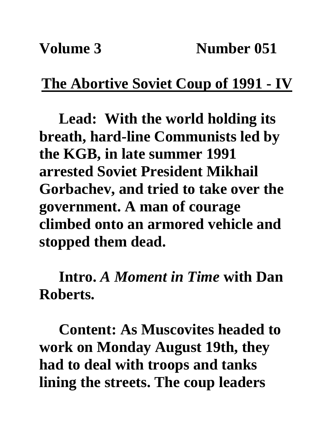## **The Abortive Soviet Coup of 1991 - IV**

**Lead: With the world holding its breath, hard-line Communists led by the KGB, in late summer 1991 arrested Soviet President Mikhail Gorbachev, and tried to take over the government. A man of courage climbed onto an armored vehicle and stopped them dead.**

**Intro.** *A Moment in Time* **with Dan Roberts.**

**Content: As Muscovites headed to work on Monday August 19th, they had to deal with troops and tanks lining the streets. The coup leaders**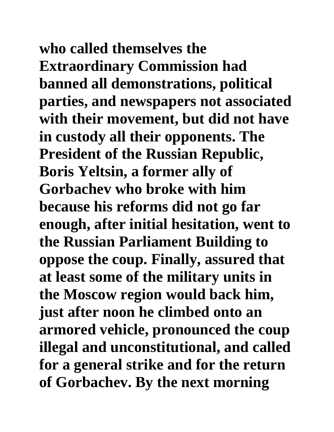**who called themselves the Extraordinary Commission had banned all demonstrations, political parties, and newspapers not associated with their movement, but did not have in custody all their opponents. The President of the Russian Republic, Boris Yeltsin, a former ally of Gorbachev who broke with him because his reforms did not go far enough, after initial hesitation, went to the Russian Parliament Building to oppose the coup. Finally, assured that at least some of the military units in the Moscow region would back him, just after noon he climbed onto an armored vehicle, pronounced the coup illegal and unconstitutional, and called for a general strike and for the return of Gorbachev. By the next morning**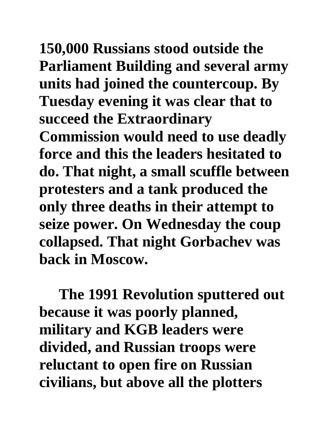**150,000 Russians stood outside the Parliament Building and several army units had joined the countercoup. By Tuesday evening it was clear that to succeed the Extraordinary** 

**Commission would need to use deadly force and this the leaders hesitated to do. That night, a small scuffle between protesters and a tank produced the only three deaths in their attempt to seize power. On Wednesday the coup collapsed. That night Gorbachev was back in Moscow.**

**The 1991 Revolution sputtered out because it was poorly planned, military and KGB leaders were divided, and Russian troops were reluctant to open fire on Russian civilians, but above all the plotters**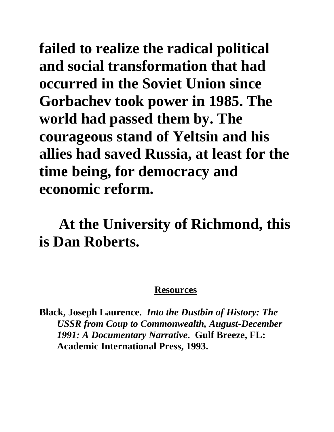**failed to realize the radical political and social transformation that had occurred in the Soviet Union since Gorbachev took power in 1985. The world had passed them by. The courageous stand of Yeltsin and his allies had saved Russia, at least for the time being, for democracy and economic reform.**

**At the University of Richmond, this is Dan Roberts.**

## **Resources**

**Black, Joseph Laurence.** *Into the Dustbin of History: The USSR from Coup to Commonwealth, August-December 1991: A Documentary Narrative***. Gulf Breeze, FL: Academic International Press, 1993.**